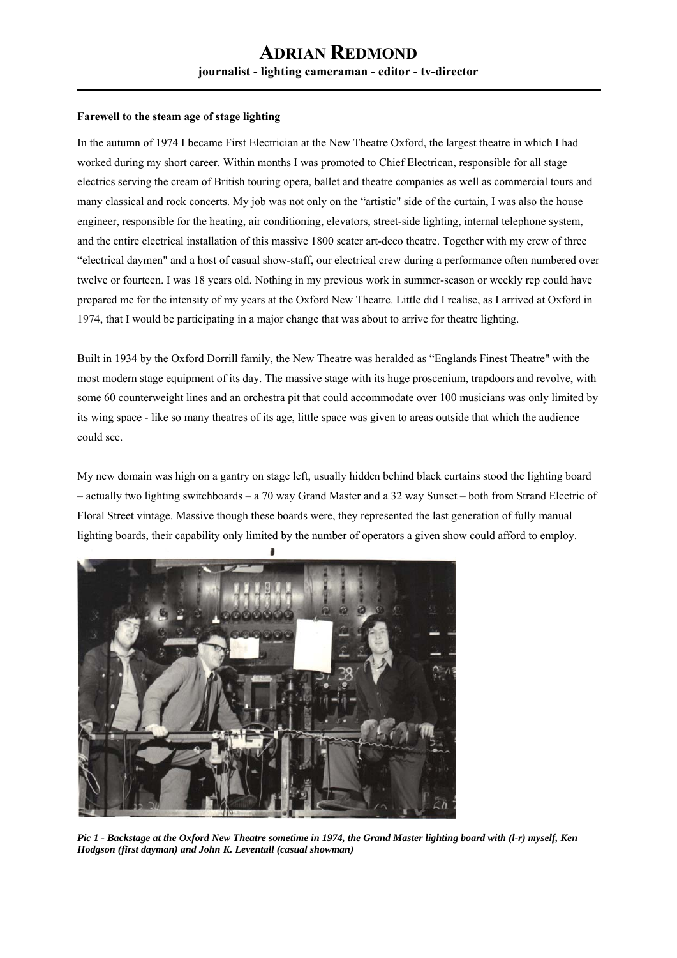#### **Farewell to the steam age of stage lighting**

In the autumn of 1974 I became First Electrician at the New Theatre Oxford, the largest theatre in which I had worked during my short career. Within months I was promoted to Chief Electrican, responsible for all stage electrics serving the cream of British touring opera, ballet and theatre companies as well as commercial tours and many classical and rock concerts. My job was not only on the "artistic" side of the curtain, I was also the house engineer, responsible for the heating, air conditioning, elevators, street-side lighting, internal telephone system, and the entire electrical installation of this massive 1800 seater art-deco theatre. Together with my crew of three "electrical daymen" and a host of casual show-staff, our electrical crew during a performance often numbered over twelve or fourteen. I was 18 years old. Nothing in my previous work in summer-season or weekly rep could have prepared me for the intensity of my years at the Oxford New Theatre. Little did I realise, as I arrived at Oxford in 1974, that I would be participating in a major change that was about to arrive for theatre lighting.

Built in 1934 by the Oxford Dorrill family, the New Theatre was heralded as "Englands Finest Theatre" with the most modern stage equipment of its day. The massive stage with its huge proscenium, trapdoors and revolve, with some 60 counterweight lines and an orchestra pit that could accommodate over 100 musicians was only limited by its wing space - like so many theatres of its age, little space was given to areas outside that which the audience could see.

My new domain was high on a gantry on stage left, usually hidden behind black curtains stood the lighting board – actually two lighting switchboards – a 70 way Grand Master and a 32 way Sunset – both from Strand Electric of Floral Street vintage. Massive though these boards were, they represented the last generation of fully manual lighting boards, their capability only limited by the number of operators a given show could afford to employ.



*Pic 1 - Backstage at the Oxford New Theatre sometime in 1974, the Grand Master lighting board with (l-r) myself, Ken Hodgson (first dayman) and John K. Leventall (casual showman)*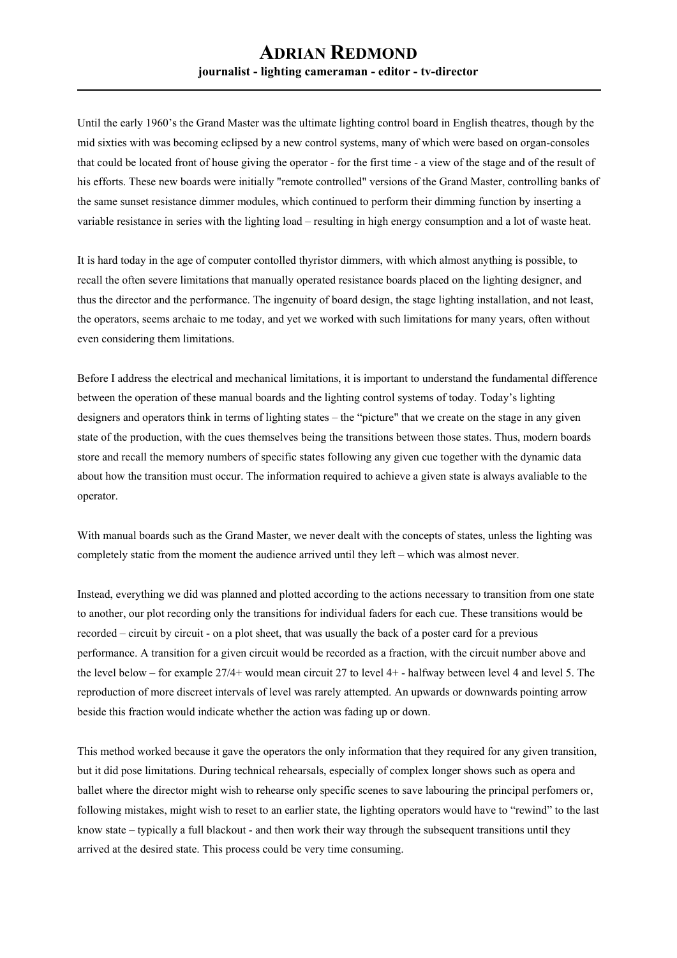Until the early 1960's the Grand Master was the ultimate lighting control board in English theatres, though by the mid sixties with was becoming eclipsed by a new control systems, many of which were based on organ-consoles that could be located front of house giving the operator - for the first time - a view of the stage and of the result of his efforts. These new boards were initially "remote controlled" versions of the Grand Master, controlling banks of the same sunset resistance dimmer modules, which continued to perform their dimming function by inserting a variable resistance in series with the lighting load – resulting in high energy consumption and a lot of waste heat.

It is hard today in the age of computer contolled thyristor dimmers, with which almost anything is possible, to recall the often severe limitations that manually operated resistance boards placed on the lighting designer, and thus the director and the performance. The ingenuity of board design, the stage lighting installation, and not least, the operators, seems archaic to me today, and yet we worked with such limitations for many years, often without even considering them limitations.

Before I address the electrical and mechanical limitations, it is important to understand the fundamental difference between the operation of these manual boards and the lighting control systems of today. Today's lighting designers and operators think in terms of lighting states – the "picture" that we create on the stage in any given state of the production, with the cues themselves being the transitions between those states. Thus, modern boards store and recall the memory numbers of specific states following any given cue together with the dynamic data about how the transition must occur. The information required to achieve a given state is always avaliable to the operator.

With manual boards such as the Grand Master, we never dealt with the concepts of states, unless the lighting was completely static from the moment the audience arrived until they left – which was almost never.

Instead, everything we did was planned and plotted according to the actions necessary to transition from one state to another, our plot recording only the transitions for individual faders for each cue. These transitions would be recorded – circuit by circuit - on a plot sheet, that was usually the back of a poster card for a previous performance. A transition for a given circuit would be recorded as a fraction, with the circuit number above and the level below – for example 27/4+ would mean circuit 27 to level 4+ - halfway between level 4 and level 5. The reproduction of more discreet intervals of level was rarely attempted. An upwards or downwards pointing arrow beside this fraction would indicate whether the action was fading up or down.

This method worked because it gave the operators the only information that they required for any given transition, but it did pose limitations. During technical rehearsals, especially of complex longer shows such as opera and ballet where the director might wish to rehearse only specific scenes to save labouring the principal perfomers or, following mistakes, might wish to reset to an earlier state, the lighting operators would have to "rewind" to the last know state – typically a full blackout - and then work their way through the subsequent transitions until they arrived at the desired state. This process could be very time consuming.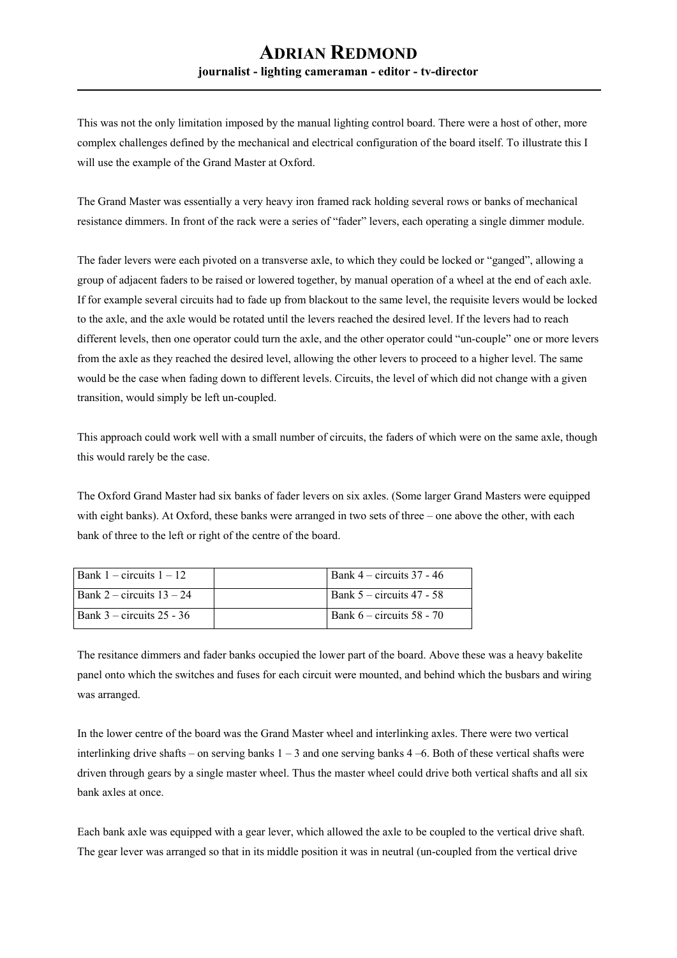This was not the only limitation imposed by the manual lighting control board. There were a host of other, more complex challenges defined by the mechanical and electrical configuration of the board itself. To illustrate this I will use the example of the Grand Master at Oxford.

The Grand Master was essentially a very heavy iron framed rack holding several rows or banks of mechanical resistance dimmers. In front of the rack were a series of "fader" levers, each operating a single dimmer module.

The fader levers were each pivoted on a transverse axle, to which they could be locked or "ganged", allowing a group of adjacent faders to be raised or lowered together, by manual operation of a wheel at the end of each axle. If for example several circuits had to fade up from blackout to the same level, the requisite levers would be locked to the axle, and the axle would be rotated until the levers reached the desired level. If the levers had to reach different levels, then one operator could turn the axle, and the other operator could "un-couple" one or more levers from the axle as they reached the desired level, allowing the other levers to proceed to a higher level. The same would be the case when fading down to different levels. Circuits, the level of which did not change with a given transition, would simply be left un-coupled.

This approach could work well with a small number of circuits, the faders of which were on the same axle, though this would rarely be the case.

The Oxford Grand Master had six banks of fader levers on six axles. (Some larger Grand Masters were equipped with eight banks). At Oxford, these banks were arranged in two sets of three – one above the other, with each bank of three to the left or right of the centre of the board.

| Bank $1 -$ circuits $1 - 12$  | $\vert$ Bank 4 – circuits 37 - 46 |
|-------------------------------|-----------------------------------|
| Bank 2 – circuits $13 - 24$   | Bank $5$ – circuits 47 - 58       |
| Bank $3$ – circuits $25 - 36$ | Bank 6 – circuits 58 - 70         |

The resitance dimmers and fader banks occupied the lower part of the board. Above these was a heavy bakelite panel onto which the switches and fuses for each circuit were mounted, and behind which the busbars and wiring was arranged.

In the lower centre of the board was the Grand Master wheel and interlinking axles. There were two vertical interlinking drive shafts – on serving banks 1 – 3 and one serving banks 4 –6. Both of these vertical shafts were driven through gears by a single master wheel. Thus the master wheel could drive both vertical shafts and all six bank axles at once.

Each bank axle was equipped with a gear lever, which allowed the axle to be coupled to the vertical drive shaft. The gear lever was arranged so that in its middle position it was in neutral (un-coupled from the vertical drive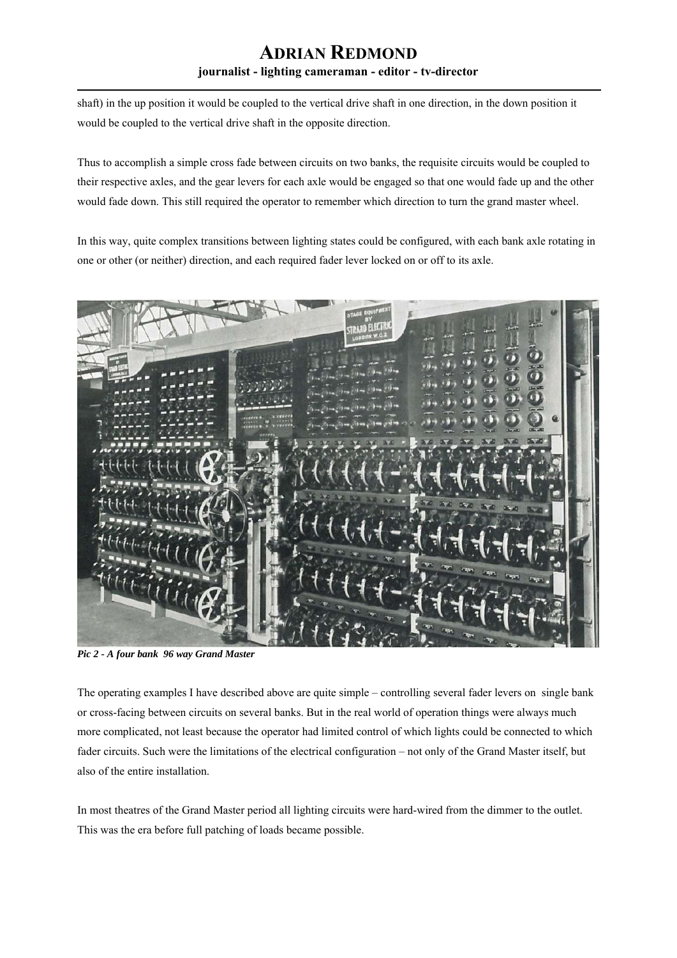shaft) in the up position it would be coupled to the vertical drive shaft in one direction, in the down position it would be coupled to the vertical drive shaft in the opposite direction.

Thus to accomplish a simple cross fade between circuits on two banks, the requisite circuits would be coupled to their respective axles, and the gear levers for each axle would be engaged so that one would fade up and the other would fade down. This still required the operator to remember which direction to turn the grand master wheel.

In this way, quite complex transitions between lighting states could be configured, with each bank axle rotating in one or other (or neither) direction, and each required fader lever locked on or off to its axle.



*Pic 2 - A four bank 96 way Grand Master* 

The operating examples I have described above are quite simple – controlling several fader levers on single bank or cross-facing between circuits on several banks. But in the real world of operation things were always much more complicated, not least because the operator had limited control of which lights could be connected to which fader circuits. Such were the limitations of the electrical configuration – not only of the Grand Master itself, but also of the entire installation.

In most theatres of the Grand Master period all lighting circuits were hard-wired from the dimmer to the outlet. This was the era before full patching of loads became possible.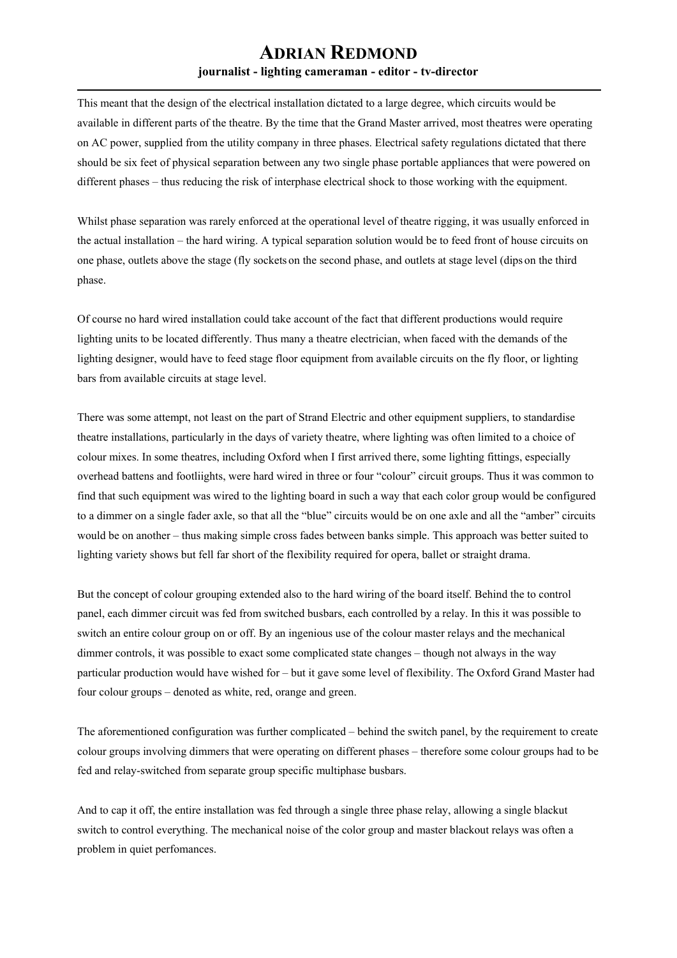This meant that the design of the electrical installation dictated to a large degree, which circuits would be available in different parts of the theatre. By the time that the Grand Master arrived, most theatres were operating on AC power, supplied from the utility company in three phases. Electrical safety regulations dictated that there should be six feet of physical separation between any two single phase portable appliances that were powered on different phases – thus reducing the risk of interphase electrical shock to those working with the equipment.

Whilst phase separation was rarely enforced at the operational level of theatre rigging, it was usually enforced in the actual installation – the hard wiring. A typical separation solution would be to feed front of house circuits on one phase, outlets above the stage (fly sockets on the second phase, and outlets at stage level (dips on the third phase.

Of course no hard wired installation could take account of the fact that different productions would require lighting units to be located differently. Thus many a theatre electrician, when faced with the demands of the lighting designer, would have to feed stage floor equipment from available circuits on the fly floor, or lighting bars from available circuits at stage level.

There was some attempt, not least on the part of Strand Electric and other equipment suppliers, to standardise theatre installations, particularly in the days of variety theatre, where lighting was often limited to a choice of colour mixes. In some theatres, including Oxford when I first arrived there, some lighting fittings, especially overhead battens and footliights, were hard wired in three or four "colour" circuit groups. Thus it was common to find that such equipment was wired to the lighting board in such a way that each color group would be configured to a dimmer on a single fader axle, so that all the "blue" circuits would be on one axle and all the "amber" circuits would be on another – thus making simple cross fades between banks simple. This approach was better suited to lighting variety shows but fell far short of the flexibility required for opera, ballet or straight drama.

But the concept of colour grouping extended also to the hard wiring of the board itself. Behind the to control panel, each dimmer circuit was fed from switched busbars, each controlled by a relay. In this it was possible to switch an entire colour group on or off. By an ingenious use of the colour master relays and the mechanical dimmer controls, it was possible to exact some complicated state changes – though not always in the way particular production would have wished for – but it gave some level of flexibility. The Oxford Grand Master had four colour groups – denoted as white, red, orange and green.

The aforementioned configuration was further complicated – behind the switch panel, by the requirement to create colour groups involving dimmers that were operating on different phases – therefore some colour groups had to be fed and relay-switched from separate group specific multiphase busbars.

And to cap it off, the entire installation was fed through a single three phase relay, allowing a single blackut switch to control everything. The mechanical noise of the color group and master blackout relays was often a problem in quiet perfomances.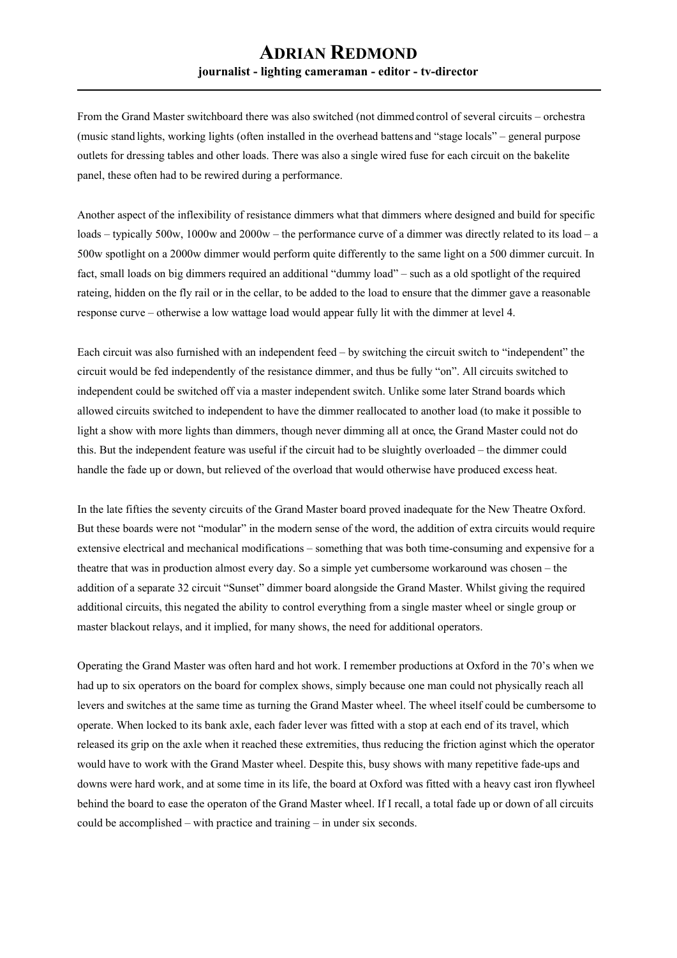From the Grand Master switchboard there was also switched (not dimmed control of several circuits – orchestra (music stand lights, working lights (often installed in the overhead battens and "stage locals" – general purpose outlets for dressing tables and other loads. There was also a single wired fuse for each circuit on the bakelite panel, these often had to be rewired during a performance.

Another aspect of the inflexibility of resistance dimmers what that dimmers where designed and build for specific loads – typically 500w, 1000w and 2000w – the performance curve of a dimmer was directly related to its load – a 500w spotlight on a 2000w dimmer would perform quite differently to the same light on a 500 dimmer curcuit. In fact, small loads on big dimmers required an additional "dummy load" – such as a old spotlight of the required rateing, hidden on the fly rail or in the cellar, to be added to the load to ensure that the dimmer gave a reasonable response curve – otherwise a low wattage load would appear fully lit with the dimmer at level 4.

Each circuit was also furnished with an independent feed – by switching the circuit switch to "independent" the circuit would be fed independently of the resistance dimmer, and thus be fully "on". All circuits switched to independent could be switched off via a master independent switch. Unlike some later Strand boards which allowed circuits switched to independent to have the dimmer reallocated to another load (to make it possible to light a show with more lights than dimmers, though never dimming all at once, the Grand Master could not do this. But the independent feature was useful if the circuit had to be sluightly overloaded – the dimmer could handle the fade up or down, but relieved of the overload that would otherwise have produced excess heat.

In the late fifties the seventy circuits of the Grand Master board proved inadequate for the New Theatre Oxford. But these boards were not "modular" in the modern sense of the word, the addition of extra circuits would require extensive electrical and mechanical modifications – something that was both time-consuming and expensive for a theatre that was in production almost every day. So a simple yet cumbersome workaround was chosen – the addition of a separate 32 circuit "Sunset" dimmer board alongside the Grand Master. Whilst giving the required additional circuits, this negated the ability to control everything from a single master wheel or single group or master blackout relays, and it implied, for many shows, the need for additional operators.

Operating the Grand Master was often hard and hot work. I remember productions at Oxford in the 70's when we had up to six operators on the board for complex shows, simply because one man could not physically reach all levers and switches at the same time as turning the Grand Master wheel. The wheel itself could be cumbersome to operate. When locked to its bank axle, each fader lever was fitted with a stop at each end of its travel, which released its grip on the axle when it reached these extremities, thus reducing the friction aginst which the operator would have to work with the Grand Master wheel. Despite this, busy shows with many repetitive fade-ups and downs were hard work, and at some time in its life, the board at Oxford was fitted with a heavy cast iron flywheel behind the board to ease the operaton of the Grand Master wheel. If I recall, a total fade up or down of all circuits could be accomplished – with practice and training – in under six seconds.